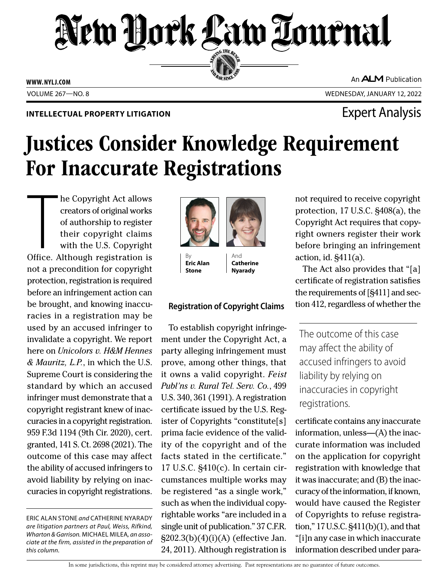# New Hock Law Tournal SERVING THE BEN

**ED BAR SINCE 188** 

**WWW. NYLJ.COM**

An **ALM** Publication

VOLUME 267—NO. 8 WEDNESDAY, JANUARY 12, 2022

### **INTELLECTUAL PROPERTY LITIGATION EXPERTY LITIGATION**

## Justices Consider Knowledge Requirement For Inaccurate Registrations

The Copyright Act allows<br>creators of original works<br>of authorship to register<br>their copyright claims<br>with the U.S. Copyright<br>Office. Although registration is he Copyright Act allows creators of original works of authorship to register their copyright claims with the U.S. Copyright not a precondition for copyright protection, registration is required before an infringement action can be brought, and knowing inaccuracies in a registration may be used by an accused infringer to invalidate a copyright. We report here on *Unicolors v. H&M Hennes & Mauritz, L.P.*, in which the U.S. Supreme Court is considering the standard by which an accused infringer must demonstrate that a copyright registrant knew of inaccuracies in a copyright registration. 959 F.3d 1194 (9th Cir. 2020), cert. granted, 141 S. Ct. 2698 (2021). The outcome of this case may affect the ability of accused infringers to avoid liability by relying on inaccuracies in copyright registrations.

ERIC ALAN STONE *and* CATHERINE NYARADY *are litigation partners at Paul, Weiss, Rifkind, Wharton & Garrison.* MICHAEL MILEA*, an associate at the firm, assisted in the preparation of this column.*



By **Eric Alan Stone**

And **Catherine Nyarady**

### **Registration of Copyright Claims**

To establish copyright infringement under the Copyright Act, a party alleging infringement must prove, among other things, that it owns a valid copyright. *Feist Publ'ns v. Rural Tel. Serv. Co.*, 499 U.S. 340, 361 (1991). A registration certificate issued by the U.S. Register of Copyrights "constitute[s] prima facie evidence of the validity of the copyright and of the facts stated in the certificate." 17 U.S.C. §410(c). In certain circumstances multiple works may be registered "as a single work," such as when the individual copyrightable works "are included in a single unit of publication." 37 C.F.R. §202.3(b)(4)(i)(A) (effective Jan. 24, 2011). Although registration is

not required to receive copyright protection, 17 U.S.C. §408(a), the Copyright Act requires that copyright owners register their work before bringing an infringement action, id. §411(a).

The Act also provides that "[a] certificate of registration satisfies the requirements of [§411] and section 412, regardless of whether the

The outcome of this case may affect the ability of accused infringers to avoid liability by relying on inaccuracies in copyright registrations.

certificate contains any inaccurate information, unless—(A) the inaccurate information was included on the application for copyright registration with knowledge that it was inaccurate; and (B) the inaccuracy of the information, if known, would have caused the Register of Copyrights to refuse registration," 17 U.S.C. §411(b)(1), and that "[i]n any case in which inaccurate information described under para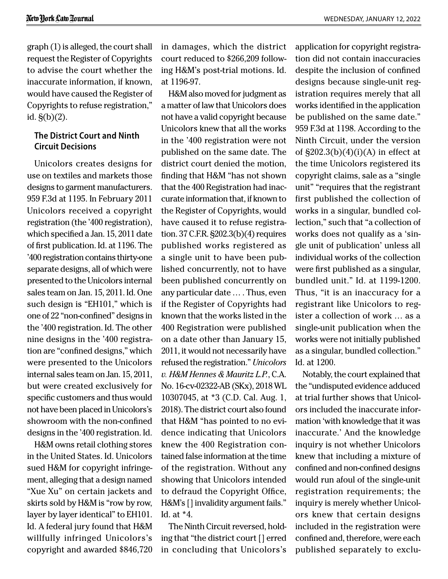graph (1) is alleged, the court shall request the Register of Copyrights to advise the court whether the inaccurate information, if known, would have caused the Register of Copyrights to refuse registration," id.  $\S(b)(2)$ .

### **The District Court and Ninth Circuit Decisions**

Unicolors creates designs for use on textiles and markets those designs to garment manufacturers. 959 F.3d at 1195. In February 2011 Unicolors received a copyright registration (the '400 registration), which specified a Jan. 15, 2011 date of first publication. Id. at 1196. The '400 registration contains thirty-one separate designs, all of which were presented to the Unicolors internal sales team on Jan. 15, 2011. Id. One such design is "EH101," which is one of 22 "non-confined" designs in the '400 registration. Id. The other nine designs in the '400 registration are "confined designs," which were presented to the Unicolors internal sales team on Jan. 15, 2011, but were created exclusively for specific customers and thus would not have been placed in Unicolors's showroom with the non-confined designs in the '400 registration. Id.

H&M owns retail clothing stores in the United States. Id. Unicolors sued H&M for copyright infringement, alleging that a design named "Xue Xu" on certain jackets and skirts sold by H&M is "row by row, layer by layer identical" to EH101. Id. A federal jury found that H&M willfully infringed Unicolors's copyright and awarded \$846,720

in damages, which the district court reduced to \$266,209 following H&M's post-trial motions. Id. at 1196-97.

H&M also moved for judgment as a matter of law that Unicolors does not have a valid copyright because Unicolors knew that all the works in the '400 registration were not published on the same date. The district court denied the motion, finding that H&M "has not shown that the 400 Registration had inaccurate information that, if known to the Register of Copyrights, would have caused it to refuse registration. 37 C.F.R. §202.3(b)(4) requires published works registered as a single unit to have been published concurrently, not to have been published concurrently on any particular date … . Thus, even if the Register of Copyrights had known that the works listed in the 400 Registration were published on a date other than January 15, 2011, it would not necessarily have refused the registration." *Unicolors v. H&M Hennes & Mauritz L.P.*, C.A. No. 16-cv-02322-AB (SKx), 2018 WL 10307045, at \*3 (C.D. Cal. Aug. 1, 2018). The district court also found that H&M "has pointed to no evidence indicating that Unicolors knew the 400 Registration contained false information at the time of the registration. Without any showing that Unicolors intended to defraud the Copyright Office, H&M's [] invalidity argument fails." Id. at \*4.

The Ninth Circuit reversed, holding that "the district court [] erred in concluding that Unicolors's application for copyright registration did not contain inaccuracies despite the inclusion of confined designs because single-unit registration requires merely that all works identified in the application be published on the same date." 959 F.3d at 1198. According to the Ninth Circuit, under the version of  $\S202.3(b)(4)(i)(A)$  in effect at the time Unicolors registered its copyright claims, sale as a "single unit" "requires that the registrant first published the collection of works in a singular, bundled collection," such that "a collection of works does not qualify as a 'single unit of publication' unless all individual works of the collection were first published as a singular, bundled unit." Id. at 1199-1200. Thus, "it is an inaccuracy for a registrant like Unicolors to register a collection of work … as a single-unit publication when the works were not initially published as a singular, bundled collection." Id. at 1200.

Notably, the court explained that the "undisputed evidence adduced at trial further shows that Unicolors included the inaccurate information 'with knowledge that it was inaccurate.' And the knowledge inquiry is not whether Unicolors knew that including a mixture of confined and non-confined designs would run afoul of the single-unit registration requirements; the inquiry is merely whether Unicolors knew that certain designs included in the registration were confined and, therefore, were each published separately to exclu